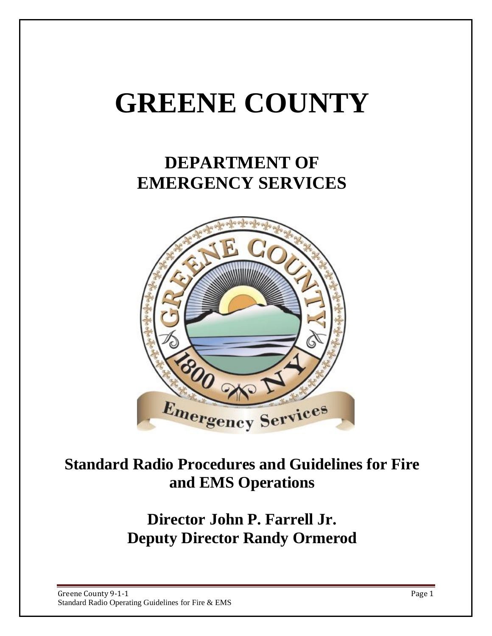# **GREENE COUNTY**

# **DEPARTMENT OF EMERGENCY SERVICES**



## **Standard Radio Procedures and Guidelines for Fire and EMS Operations**

**Director John P. Farrell Jr. Deputy Director Randy Ormerod**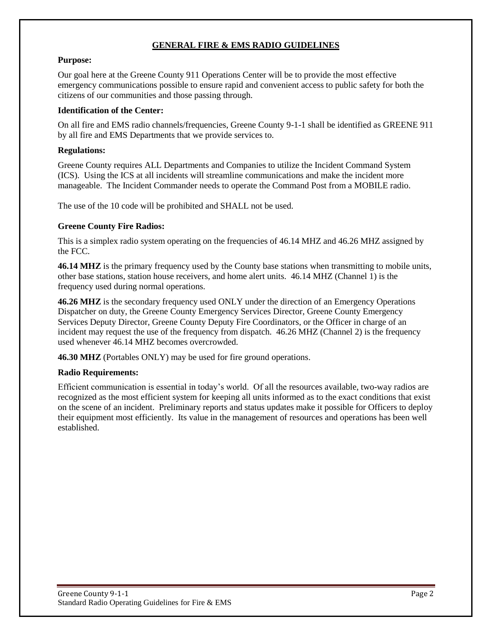#### **GENERAL FIRE & EMS RADIO GUIDELINES**

#### **Purpose:**

Our goal here at the Greene County 911 Operations Center will be to provide the most effective emergency communications possible to ensure rapid and convenient access to public safety for both the citizens of our communities and those passing through.

#### **Identification of the Center:**

On all fire and EMS radio channels/frequencies, Greene County 9-1-1 shall be identified as GREENE 911 by all fire and EMS Departments that we provide services to.

#### **Regulations:**

Greene County requires ALL Departments and Companies to utilize the Incident Command System (ICS). Using the ICS at all incidents will streamline communications and make the incident more manageable. The Incident Commander needs to operate the Command Post from a MOBILE radio.

The use of the 10 code will be prohibited and SHALL not be used.

#### **Greene County Fire Radios:**

This is a simplex radio system operating on the frequencies of 46.14 MHZ and 46.26 MHZ assigned by the FCC.

**46.14 MHZ** is the primary frequency used by the County base stations when transmitting to mobile units, other base stations, station house receivers, and home alert units. 46.14 MHZ (Channel 1) is the frequency used during normal operations.

**46.26 MHZ** is the secondary frequency used ONLY under the direction of an Emergency Operations Dispatcher on duty, the Greene County Emergency Services Director, Greene County Emergency Services Deputy Director, Greene County Deputy Fire Coordinators, or the Officer in charge of an incident may request the use of the frequency from dispatch. 46.26 MHZ (Channel 2) is the frequency used whenever 46.14 MHZ becomes overcrowded.

**46.30 MHZ** (Portables ONLY) may be used for fire ground operations.

#### **Radio Requirements:**

Efficient communication is essential in today's world. Of all the resources available, two-way radios are recognized as the most efficient system for keeping all units informed as to the exact conditions that exist on the scene of an incident. Preliminary reports and status updates make it possible for Officers to deploy their equipment most efficiently. Its value in the management of resources and operations has been well established.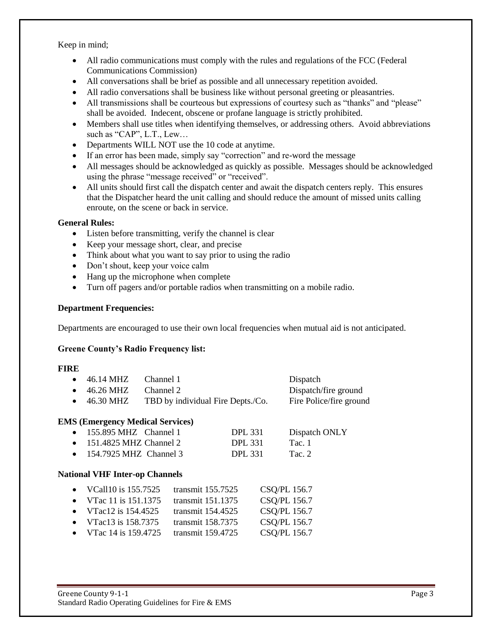Keep in mind;

- All radio communications must comply with the rules and regulations of the FCC (Federal Communications Commission)
- All conversations shall be brief as possible and all unnecessary repetition avoided.
- All radio conversations shall be business like without personal greeting or pleasantries.
- All transmissions shall be courteous but expressions of courtesy such as "thanks" and "please" shall be avoided. Indecent, obscene or profane language is strictly prohibited.
- Members shall use titles when identifying themselves, or addressing others. Avoid abbreviations such as "CAP", L.T., Lew…
- Departments WILL NOT use the 10 code at anytime.
- If an error has been made, simply say "correction" and re-word the message
- All messages should be acknowledged as quickly as possible. Messages should be acknowledged using the phrase "message received" or "received".
- All units should first call the dispatch center and await the dispatch centers reply. This ensures that the Dispatcher heard the unit calling and should reduce the amount of missed units calling enroute, on the scene or back in service.

#### **General Rules:**

- Listen before transmitting, verify the channel is clear
- Keep your message short, clear, and precise
- Think about what you want to say prior to using the radio
- Don't shout, keep your voice calm
- Hang up the microphone when complete
- Turn off pagers and/or portable radios when transmitting on a mobile radio.

#### **Department Frequencies:**

Departments are encouraged to use their own local frequencies when mutual aid is not anticipated.

#### **Greene County's Radio Frequency list:**

#### **FIRE**

| $\bullet$ 46.14 MHZ   | Channel 1                         | Dispatch                |
|-----------------------|-----------------------------------|-------------------------|
| $\bullet$ 46.26 MHZ   | Channel 2                         | Dispatch/fire ground    |
| • $46.30 \text{ MHz}$ | TBD by individual Fire Depts./Co. | Fire Police/fire ground |

#### **EMS (Emergency Medical Services)**

| $\bullet$ 155.895 MHZ Channel 1  | <b>DPL 331</b> | Dispatch ONLY |
|----------------------------------|----------------|---------------|
| $\bullet$ 151.4825 MHZ Channel 2 | DPL 331        | Tac. 1        |
| $\bullet$ 154.7925 MHZ Channel 3 | DPL 331        | Tac. $2$      |

#### **National VHF Inter-op Channels**

| • VCall 10 is $155.7525$                        | transmit 155.7525           | CSQ/PL 156.7         |
|-------------------------------------------------|-----------------------------|----------------------|
| • VTac 11 is $151.1375$                         | transmit 151.1375           | CSQ/PL 156.7         |
| • VTac12 is $154.4525$                          | transmit 154.4525           | CSQ/PL 156.7         |
| • VTac13 is $158.7375$                          | transmit 158.7375           | CSQ/PL 156.7         |
| $\sim$ $V_{\text{T}}$ $\sim$ 14 $\sim$ 150 4705 | $t_{\text{non}} = 150.4725$ | $C$ C $\cap$ DI 1567 |

VTac 14 is 159.4725 transmit 159.4725 CSQ/PL 156.7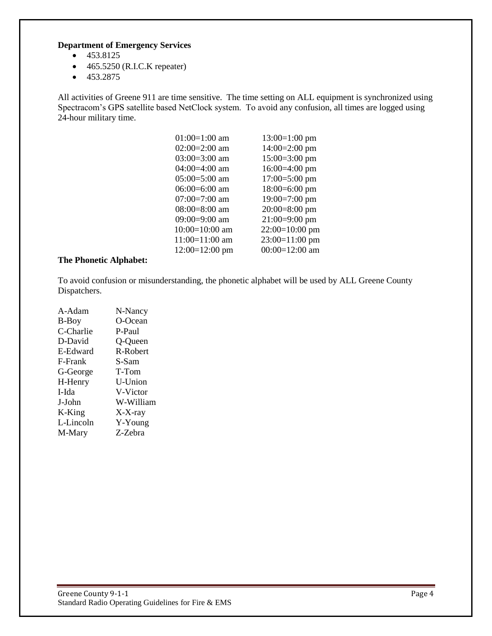#### **Department of Emergency Services**

- $-453.8125$
- $\bullet$  465.5250 (R.I.C.K repeater)
- $-453.2875$

All activities of Greene 911 are time sensitive. The time setting on ALL equipment is synchronized using Spectracom's GPS satellite based NetClock system. To avoid any confusion, all times are logged using 24-hour military time.

| $01:00=1:00$ am  | $13:00=1:00$ pm  |
|------------------|------------------|
| $02:00=2:00$ am  | $14:00=2:00$ pm  |
| $03:00=3:00$ am  | $15:00=3:00$ pm  |
| $04:00=4:00$ am  | $16:00=4:00$ pm  |
| $05:00=5:00$ am  | $17:00=5:00$ pm  |
| $06:00=6:00$ am  | $18:00=6:00$ pm  |
| $07:00=7:00$ am  | $19:00=7:00$ pm  |
| $08:00=8:00$ am  | $20:00=8:00$ pm  |
| 09:00=9:00 am    | $21:00=9:00$ pm  |
| $10:00=10:00$ am | 22:00=10:00 pm   |
| 11:00=11:00 am   | $23:00=11:00$ pm |
| $12:00=12:00$ pm | $00:00=12:00$ am |
|                  |                  |

#### **The Phonetic Alphabet:**

To avoid confusion or misunderstanding, the phonetic alphabet will be used by ALL Greene County Dispatchers.

| A-Adam    | N-Nancy   |
|-----------|-----------|
| B-Boy     | O-Ocean   |
| C-Charlie | P-Paul    |
| D-David   | Q-Queen   |
| E-Edward  | R-Robert  |
| F-Frank   | S-Sam     |
| G-George  | T-Tom     |
| H-Henry   | U-Union   |
| I-Ida     | V-Victor  |
| J-John    | W-William |
| K-King    | X-X-ray   |
| L-Lincoln | Y-Young   |
| M-Mary    | Z-Zebra   |
|           |           |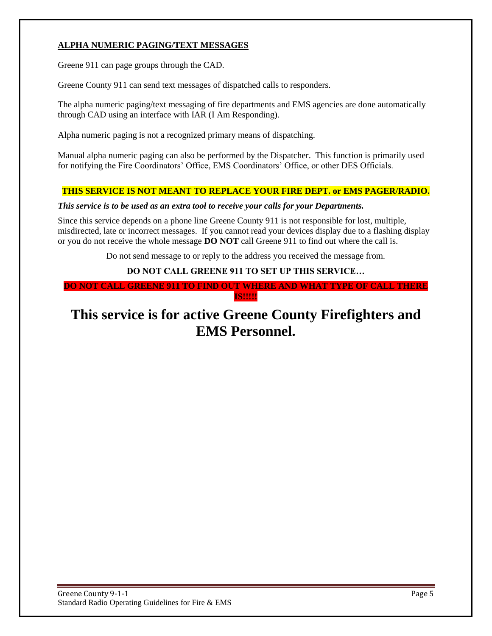#### **ALPHA NUMERIC PAGING/TEXT MESSAGES**

Greene 911 can page groups through the CAD.

Greene County 911 can send text messages of dispatched calls to responders.

The alpha numeric paging/text messaging of fire departments and EMS agencies are done automatically through CAD using an interface with IAR (I Am Responding).

Alpha numeric paging is not a recognized primary means of dispatching.

Manual alpha numeric paging can also be performed by the Dispatcher. This function is primarily used for notifying the Fire Coordinators' Office, EMS Coordinators' Office, or other DES Officials.

#### **THIS SERVICE IS NOT MEANT TO REPLACE YOUR FIRE DEPT. or EMS PAGER/RADIO.**

#### *This service is to be used as an extra tool to receive your calls for your Departments.*

Since this service depends on a phone line Greene County 911 is not responsible for lost, multiple, misdirected, late or incorrect messages. If you cannot read your devices display due to a flashing display or you do not receive the whole message **DO NOT** call Greene 911 to find out where the call is.

Do not send message to or reply to the address you received the message from.

#### **DO NOT CALL GREENE 911 TO SET UP THIS SERVICE…**

**DO NOT CALL GREENE 911 TO FIND OUT WHERE AND WHAT TYPE OF CALL THERE IS!!!!!**

### **This service is for active Greene County Firefighters and EMS Personnel.**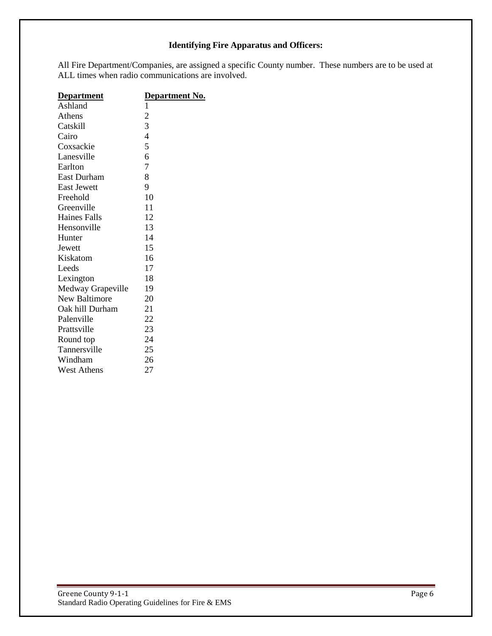#### **Identifying Fire Apparatus and Officers:**

All Fire Department/Companies, are assigned a specific County number. These numbers are to be used at ALL times when radio communications are involved.

| <b>Department</b>    | <u>Department No.</u> |
|----------------------|-----------------------|
| Ashland              | 1                     |
| Athens               | $\overline{c}$        |
| Catskill             | 3                     |
| Cairo                | $\overline{4}$        |
| Coxsackie            | 5                     |
| Lanesville           | 6                     |
| Earlton              | 7                     |
| <b>East Durham</b>   | 8                     |
| <b>East Jewett</b>   | 9                     |
| Freehold             | 10                    |
| Greenville           | 11                    |
| Haines Falls         | 12                    |
| Hensonville          | 13                    |
| Hunter               | 14                    |
| Jewett               | 15                    |
| Kiskatom             | 16                    |
| Leeds                | 17                    |
| Lexington            | 18                    |
| Medway Grapeville    | 19                    |
| <b>New Baltimore</b> | 20                    |
| Oak hill Durham      | 21                    |
| Palenville           | 22                    |
| Prattsville          | 23                    |
| Round top            | 24                    |
| Tannersville         | 25                    |
| Windham              | 26                    |
| <b>West Athens</b>   | 27                    |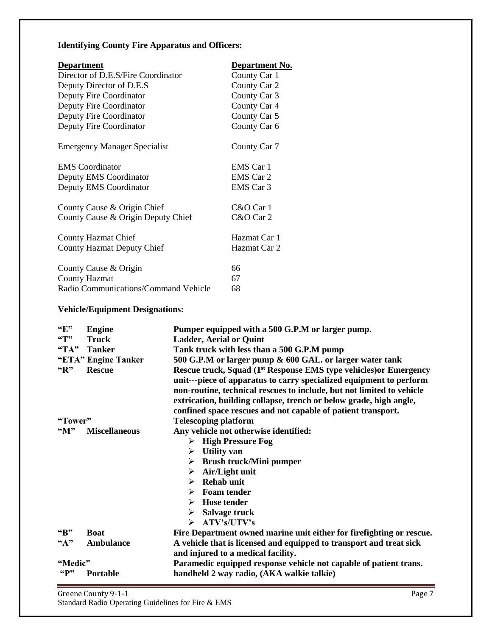#### **Identifying County Fire Apparatus and Officers:**

| <b>Department</b>                    | <b>Department No.</b> |
|--------------------------------------|-----------------------|
| Director of D.E.S/Fire Coordinator   | County Car 1          |
| Deputy Director of D.E.S             | County Car 2          |
| Deputy Fire Coordinator              | County Car 3          |
| Deputy Fire Coordinator              | County Car 4          |
| Deputy Fire Coordinator              | County Car 5          |
| Deputy Fire Coordinator              | County Car 6          |
| <b>Emergency Manager Specialist</b>  | County Car 7          |
| <b>EMS</b> Coordinator               | EMS Car 1             |
| Deputy EMS Coordinator               | EMS Car 2             |
| Deputy EMS Coordinator               | EMS Car 3             |
| County Cause & Origin Chief          | C&O Car 1             |
| County Cause & Origin Deputy Chief   | C&O Car 2             |
| <b>County Hazmat Chief</b>           | Hazmat Car 1          |
| <b>County Hazmat Deputy Chief</b>    | Hazmat Car 2          |
| County Cause & Origin                | 66                    |
| <b>County Hazmat</b>                 | 67                    |
| Radio Communications/Command Vehicle | 68                    |

#### **Vehicle/Equipment Designations:**

| $\mathbf{F}$                | <b>Engine</b>        | Pumper equipped with a 500 G.P.M or larger pump.                                                                                                                                                                                                                                                                                                                    |  |  |
|-----------------------------|----------------------|---------------------------------------------------------------------------------------------------------------------------------------------------------------------------------------------------------------------------------------------------------------------------------------------------------------------------------------------------------------------|--|--|
| $\mathbf{G}(\mathbf{T})$    | <b>Truck</b>         | <b>Ladder, Aerial or Quint</b>                                                                                                                                                                                                                                                                                                                                      |  |  |
| "TA"                        | <b>Tanker</b>        | Tank truck with less than a 500 G.P.M pump                                                                                                                                                                                                                                                                                                                          |  |  |
|                             | "ETA" Engine Tanker  | 500 G.P.M or larger pump & 600 GAL. or larger water tank                                                                                                                                                                                                                                                                                                            |  |  |
| "R"                         | <b>Rescue</b>        | Rescue truck, Squad (1 <sup>st</sup> Response EMS type vehicles) or Emergency<br>unit---piece of apparatus to carry specialized equipment to perform<br>non-routine, technical rescues to include, but not limited to vehicle<br>extrication, building collapse, trench or below grade, high angle,<br>confined space rescues and not capable of patient transport. |  |  |
| "Tower"                     |                      | <b>Telescoping platform</b>                                                                                                                                                                                                                                                                                                                                         |  |  |
| $\mathbf{M}$ <sup>39</sup>  | <b>Miscellaneous</b> | Any vehicle not otherwise identified:                                                                                                                                                                                                                                                                                                                               |  |  |
|                             |                      | $\triangleright$ High Pressure Fog                                                                                                                                                                                                                                                                                                                                  |  |  |
|                             |                      | $\triangleright$ Utility van                                                                                                                                                                                                                                                                                                                                        |  |  |
|                             |                      | <b>Brush truck/Mini pumper</b><br>➤                                                                                                                                                                                                                                                                                                                                 |  |  |
|                             |                      | Air/Light unit<br>➤                                                                                                                                                                                                                                                                                                                                                 |  |  |
|                             |                      | <b>Rehab unit</b><br>➤                                                                                                                                                                                                                                                                                                                                              |  |  |
|                             |                      | $\triangleright$ Foam tender                                                                                                                                                                                                                                                                                                                                        |  |  |
|                             |                      | $\triangleright$ Hose tender                                                                                                                                                                                                                                                                                                                                        |  |  |
|                             |                      | Salvage truck<br>≻                                                                                                                                                                                                                                                                                                                                                  |  |  |
|                             |                      | $\triangleright$ ATV's/UTV's                                                                                                                                                                                                                                                                                                                                        |  |  |
| ``B"                        | <b>Boat</b>          | Fire Department owned marine unit either for firefighting or rescue.                                                                                                                                                                                                                                                                                                |  |  |
| $\mathbf{A}^{\prime\prime}$ | <b>Ambulance</b>     | A vehicle that is licensed and equipped to transport and treat sick                                                                                                                                                                                                                                                                                                 |  |  |
|                             |                      | and injured to a medical facility.                                                                                                                                                                                                                                                                                                                                  |  |  |
| "Medic"                     |                      | Paramedic equipped response vehicle not capable of patient trans.                                                                                                                                                                                                                                                                                                   |  |  |
| $\mathbf{G}$                | Portable             | handheld 2 way radio, (AKA walkie talkie)                                                                                                                                                                                                                                                                                                                           |  |  |

Greene County 9-1-1 Page 7 Standard Radio Operating Guidelines for Fire & EMS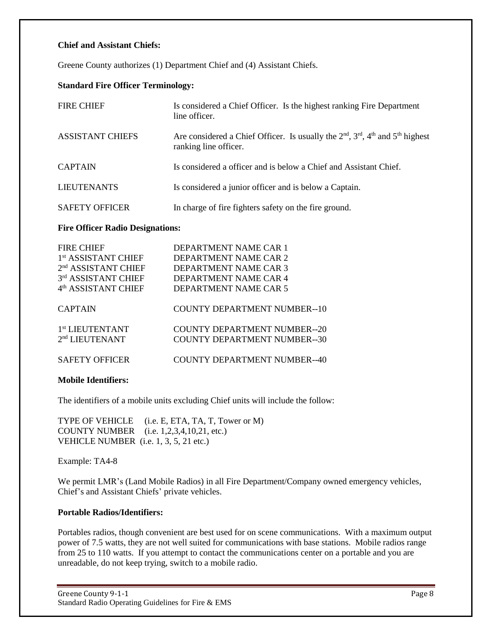#### **Chief and Assistant Chiefs:**

Greene County authorizes (1) Department Chief and (4) Assistant Chiefs.

#### **Standard Fire Officer Terminology:**

| <b>FIRE CHIEF</b>       | Is considered a Chief Officer. Is the highest ranking Fire Department<br>line officer.                          |
|-------------------------|-----------------------------------------------------------------------------------------------------------------|
| <b>ASSISTANT CHIEFS</b> | Are considered a Chief Officer. Is usually the $2nd$ , $3rd$ , $4th$ and $5th$ highest<br>ranking line officer. |
| <b>CAPTAIN</b>          | Is considered a officer and is below a Chief and Assistant Chief.                                               |
| <b>LIEUTENANTS</b>      | Is considered a junior officer and is below a Captain.                                                          |
| <b>SAFETY OFFICER</b>   | In charge of fire fighters safety on the fire ground.                                                           |

#### **Fire Officer Radio Designations:**

| <b>FIRE CHIEF</b>               | DEPARTMENT NAME CAR 1        |
|---------------------------------|------------------------------|
| 1 <sup>st</sup> ASSISTANT CHIEF | DEPARTMENT NAME CAR 2        |
| $2nd$ ASSISTANT CHIEF           | DEPARTMENT NAME CAR 3        |
| 3rd ASSISTANT CHIEF             | DEPARTMENT NAME CAR 4        |
| 4 <sup>th</sup> ASSISTANT CHIEF | DEPARTMENT NAME CAR 5        |
| <b>CAPTAIN</b>                  | COUNTY DEPARTMENT NUMBER--10 |
| 1 <sup>st</sup> LIEUTENTANT     | COUNTY DEPARTMENT NUMBER--20 |
| 2 <sup>nd</sup> LIEUTENANT      | COUNTY DEPARTMENT NUMBER--30 |
| <b>SAFETY OFFICER</b>           | COUNTY DEPARTMENT NUMBER--40 |
|                                 |                              |

#### **Mobile Identifiers:**

The identifiers of a mobile units excluding Chief units will include the follow:

TYPE OF VEHICLE (i.e. E, ETA, TA, T, Tower or M) COUNTY NUMBER (i.e. 1,2,3,4,10,21, etc.) VEHICLE NUMBER (i.e. 1, 3, 5, 21 etc.)

Example: TA4-8

We permit LMR's (Land Mobile Radios) in all Fire Department/Company owned emergency vehicles, Chief's and Assistant Chiefs' private vehicles.

#### **Portable Radios/Identifiers:**

Portables radios, though convenient are best used for on scene communications. With a maximum output power of 7.5 watts, they are not well suited for communications with base stations. Mobile radios range from 25 to 110 watts. If you attempt to contact the communications center on a portable and you are unreadable, do not keep trying, switch to a mobile radio.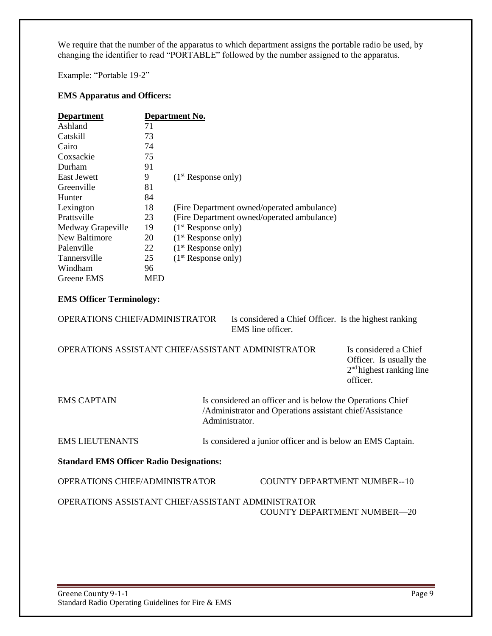We require that the number of the apparatus to which department assigns the portable radio be used, by changing the identifier to read "PORTABLE" followed by the number assigned to the apparatus.

Example: "Portable 19-2"

#### **EMS Apparatus and Officers:**

| <b>Department</b>   |            | Department No.                             |  |  |  |  |
|---------------------|------------|--------------------------------------------|--|--|--|--|
| Ashland             | 71         |                                            |  |  |  |  |
| Catskill            | 73         |                                            |  |  |  |  |
| Cairo               | 74         |                                            |  |  |  |  |
| Coxsackie           | 75         |                                            |  |  |  |  |
| Durham              | 91         |                                            |  |  |  |  |
| <b>East Jewett</b>  | 9          | $(1st$ Response only)                      |  |  |  |  |
| Greenville          | 81         |                                            |  |  |  |  |
| Hunter              | 84         |                                            |  |  |  |  |
| Lexington           | 18         | (Fire Department owned/operated ambulance) |  |  |  |  |
| Prattsville         | 23         | (Fire Department owned/operated ambulance) |  |  |  |  |
| Medway Grapeville   | 19         | $(1st$ Response only)                      |  |  |  |  |
| New Baltimore       | 20         | $(1st$ Response only)                      |  |  |  |  |
| Palenville          | 22         | $(1st$ Response only)                      |  |  |  |  |
| <b>Tannersville</b> | 25         | $(1st$ Response only)                      |  |  |  |  |
| Windham             | 96         |                                            |  |  |  |  |
| Greene EMS          | <b>MED</b> |                                            |  |  |  |  |

#### **EMS Officer Terminology:**

| <b>OPERATIONS CHIEF/ADMINISTRATOR</b>                     |                | EMS line officer. |  |  | Is considered a Chief Officer. Is the highest ranking                                                                  |  |
|-----------------------------------------------------------|----------------|-------------------|--|--|------------------------------------------------------------------------------------------------------------------------|--|
| <b>OPERATIONS ASSISTANT CHIEF/ASSISTANT ADMINISTRATOR</b> |                |                   |  |  | Is considered a Chief<br>Officer. Is usually the<br>$2nd$ highest ranking line<br>officer.                             |  |
| <b>EMS CAPTAIN</b>                                        | Administrator. |                   |  |  | Is considered an officer and is below the Operations Chief<br>/Administrator and Operations assistant chief/Assistance |  |
| <b>EMS LIEUTENANTS</b>                                    |                |                   |  |  | Is considered a junior officer and is below an EMS Captain.                                                            |  |
| <b>Standard EMS Officer Radio Designations:</b>           |                |                   |  |  |                                                                                                                        |  |
| <b>OPERATIONS CHIEF/ADMINISTRATOR</b>                     |                |                   |  |  | COUNTY DEPARTMENT NUMBER--10                                                                                           |  |
| OPERATIONS ASSISTANT CHIEF/ASSISTANT ADMINISTRATOR        |                |                   |  |  | <b>COUNTY DEPARTMENT NUMBER-20</b>                                                                                     |  |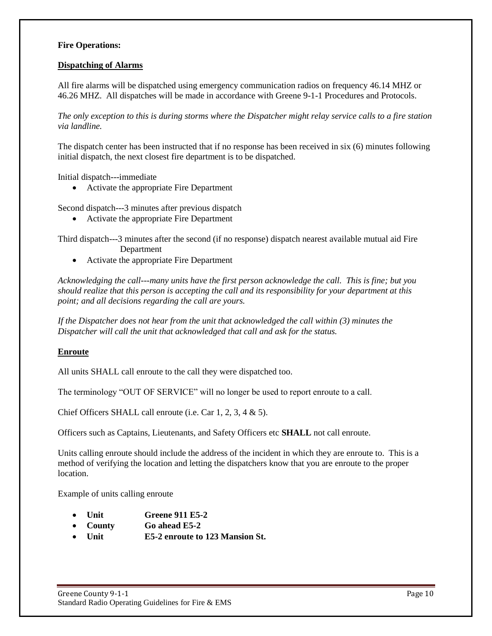#### **Fire Operations:**

#### **Dispatching of Alarms**

All fire alarms will be dispatched using emergency communication radios on frequency 46.14 MHZ or 46.26 MHZ. All dispatches will be made in accordance with Greene 9-1-1 Procedures and Protocols.

*The only exception to this is during storms where the Dispatcher might relay service calls to a fire station via landline.*

The dispatch center has been instructed that if no response has been received in six (6) minutes following initial dispatch, the next closest fire department is to be dispatched.

Initial dispatch---immediate

Activate the appropriate Fire Department

Second dispatch---3 minutes after previous dispatch

Activate the appropriate Fire Department

Third dispatch---3 minutes after the second (if no response) dispatch nearest available mutual aid Fire Department

Activate the appropriate Fire Department

*Acknowledging the call---many units have the first person acknowledge the call. This is fine; but you should realize that this person is accepting the call and its responsibility for your department at this point; and all decisions regarding the call are yours.*

*If the Dispatcher does not hear from the unit that acknowledged the call within (3) minutes the Dispatcher will call the unit that acknowledged that call and ask for the status.*

#### **Enroute**

All units SHALL call enroute to the call they were dispatched too.

The terminology "OUT OF SERVICE" will no longer be used to report enroute to a call.

Chief Officers SHALL call enroute (i.e. Car 1, 2, 3, 4 & 5).

Officers such as Captains, Lieutenants, and Safety Officers etc **SHALL** not call enroute.

Units calling enroute should include the address of the incident in which they are enroute to. This is a method of verifying the location and letting the dispatchers know that you are enroute to the proper location.

Example of units calling enroute

- **Unit Greene 911 E5-2**
- **County Go ahead E5-2**
- **Unit E5-2 enroute to 123 Mansion St.**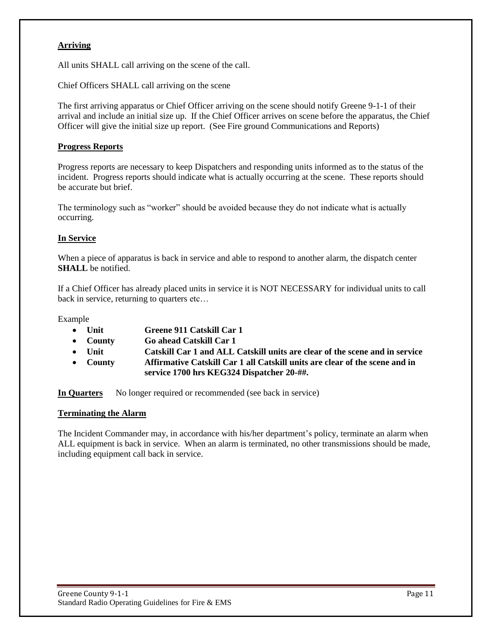#### **Arriving**

All units SHALL call arriving on the scene of the call.

Chief Officers SHALL call arriving on the scene

The first arriving apparatus or Chief Officer arriving on the scene should notify Greene 9-1-1 of their arrival and include an initial size up. If the Chief Officer arrives on scene before the apparatus, the Chief Officer will give the initial size up report. (See Fire ground Communications and Reports)

#### **Progress Reports**

Progress reports are necessary to keep Dispatchers and responding units informed as to the status of the incident. Progress reports should indicate what is actually occurring at the scene. These reports should be accurate but brief.

The terminology such as "worker" should be avoided because they do not indicate what is actually occurring.

#### **In Service**

When a piece of apparatus is back in service and able to respond to another alarm, the dispatch center **SHALL** be notified.

If a Chief Officer has already placed units in service it is NOT NECESSARY for individual units to call back in service, returning to quarters etc...

Example

- **Unit Greene 911 Catskill Car 1**
- **County Go ahead Catskill Car 1**
- **Unit Catskill Car 1 and ALL Catskill units are clear of the scene and in service**
- **County Affirmative Catskill Car 1 all Catskill units are clear of the scene and in service 1700 hrs KEG324 Dispatcher 20-##.**

**In Quarters** No longer required or recommended (see back in service)

#### **Terminating the Alarm**

The Incident Commander may, in accordance with his/her department's policy, terminate an alarm when ALL equipment is back in service. When an alarm is terminated, no other transmissions should be made, including equipment call back in service.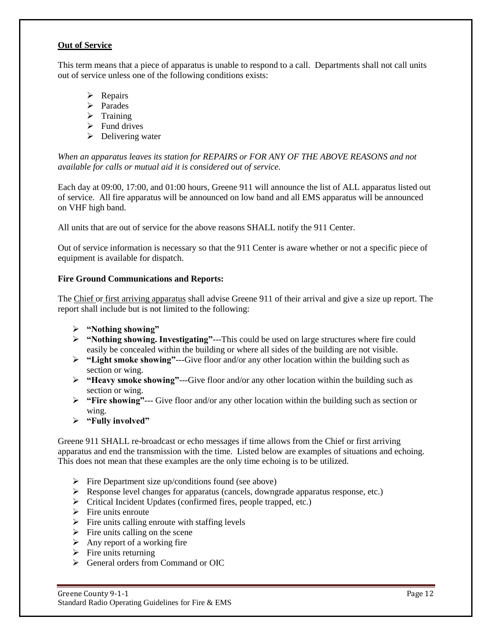#### **Out of Service**

This term means that a piece of apparatus is unable to respond to a call. Departments shall not call units out of service unless one of the following conditions exists:

- $\triangleright$  Repairs
- > Parades
- $\triangleright$  Training
- $\triangleright$  Fund drives
- $\triangleright$  Delivering water

*When an apparatus leaves its station for REPAIRS or FOR ANY OF THE ABOVE REASONS and not available for calls or mutual aid it is considered out of service.* 

Each day at 09:00, 17:00, and 01:00 hours, Greene 911 will announce the list of ALL apparatus listed out of service. All fire apparatus will be announced on low band and all EMS apparatus will be announced on VHF high band.

All units that are out of service for the above reasons SHALL notify the 911 Center.

Out of service information is necessary so that the 911 Center is aware whether or not a specific piece of equipment is available for dispatch.

#### **Fire Ground Communications and Reports:**

The Chief or first arriving apparatus shall advise Greene 911 of their arrival and give a size up report. The report shall include but is not limited to the following:

- **"Nothing showing"**
- **"Nothing showing. Investigating"**---This could be used on large structures where fire could easily be concealed within the building or where all sides of the building are not visible.
- **"Light smoke showing"**---Give floor and/or any other location within the building such as section or wing.
- **"Heavy smoke showing"**---Give floor and/or any other location within the building such as section or wing.
- **"Fire showing"**--- Give floor and/or any other location within the building such as section or wing.
- **"Fully involved"**

Greene 911 SHALL re-broadcast or echo messages if time allows from the Chief or first arriving apparatus and end the transmission with the time. Listed below are examples of situations and echoing. This does not mean that these examples are the only time echoing is to be utilized.

- $\triangleright$  Fire Department size up/conditions found (see above)
- $\triangleright$  Response level changes for apparatus (cancels, downgrade apparatus response, etc.)
- $\triangleright$  Critical Incident Updates (confirmed fires, people trapped, etc.)
- $\triangleright$  Fire units enroute
- $\triangleright$  Fire units calling enroute with staffing levels
- $\triangleright$  Fire units calling on the scene
- $\triangleright$  Any report of a working fire
- $\triangleright$  Fire units returning
- General orders from Command or OIC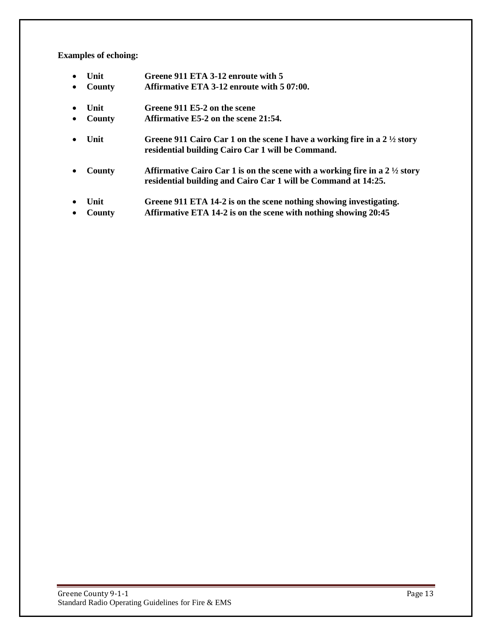#### **Examples of echoing:**

| $\bullet$<br>$\bullet$ | Unit<br>County | Greene 911 ETA 3-12 enroute with 5<br>Affirmative ETA 3-12 enroute with 5 07:00.                                                                        |
|------------------------|----------------|---------------------------------------------------------------------------------------------------------------------------------------------------------|
| $\bullet$              | Unit           | Greene 911 E5-2 on the scene                                                                                                                            |
| $\bullet$              | County         | Affirmative E5-2 on the scene 21:54.                                                                                                                    |
| $\bullet$              | Unit           | Greene 911 Cairo Car 1 on the scene I have a working fire in a $2\frac{1}{2}$ story<br>residential building Cairo Car 1 will be Command.                |
| $\bullet$              | County         | Affirmative Cairo Car 1 is on the scene with a working fire in a $2\frac{1}{2}$ story<br>residential building and Cairo Car 1 will be Command at 14:25. |
| $\bullet$<br>$\bullet$ | Unit<br>County | Greene 911 ETA 14-2 is on the scene nothing showing investigating.<br>Affirmative ETA 14-2 is on the scene with nothing showing 20:45                   |
|                        |                |                                                                                                                                                         |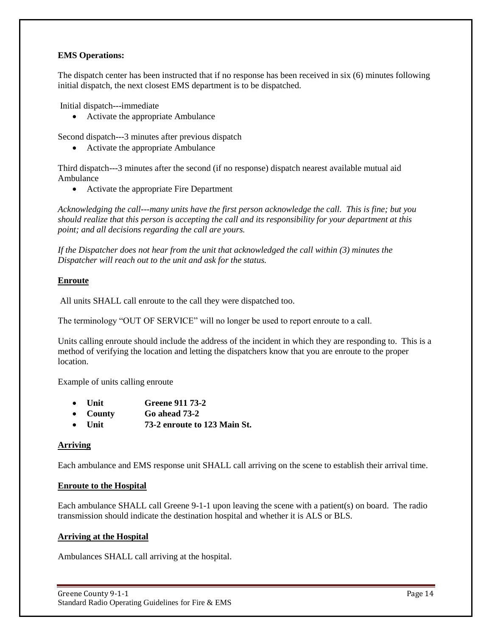#### **EMS Operations:**

The dispatch center has been instructed that if no response has been received in six (6) minutes following initial dispatch, the next closest EMS department is to be dispatched.

Initial dispatch---immediate

• Activate the appropriate Ambulance

Second dispatch---3 minutes after previous dispatch

• Activate the appropriate Ambulance

Third dispatch---3 minutes after the second (if no response) dispatch nearest available mutual aid Ambulance

Activate the appropriate Fire Department

*Acknowledging the call---many units have the first person acknowledge the call. This is fine; but you should realize that this person is accepting the call and its responsibility for your department at this point; and all decisions regarding the call are yours.*

*If the Dispatcher does not hear from the unit that acknowledged the call within (3) minutes the Dispatcher will reach out to the unit and ask for the status.*

#### **Enroute**

All units SHALL call enroute to the call they were dispatched too.

The terminology "OUT OF SERVICE" will no longer be used to report enroute to a call.

Units calling enroute should include the address of the incident in which they are responding to. This is a method of verifying the location and letting the dispatchers know that you are enroute to the proper **location** 

Example of units calling enroute

- **Unit Greene 911 73-2**
- **County Go ahead 73-2**
- **Unit 73-2 enroute to 123 Main St.**

#### **Arriving**

Each ambulance and EMS response unit SHALL call arriving on the scene to establish their arrival time.

#### **Enroute to the Hospital**

Each ambulance SHALL call Greene 9-1-1 upon leaving the scene with a patient(s) on board. The radio transmission should indicate the destination hospital and whether it is ALS or BLS.

#### **Arriving at the Hospital**

Ambulances SHALL call arriving at the hospital.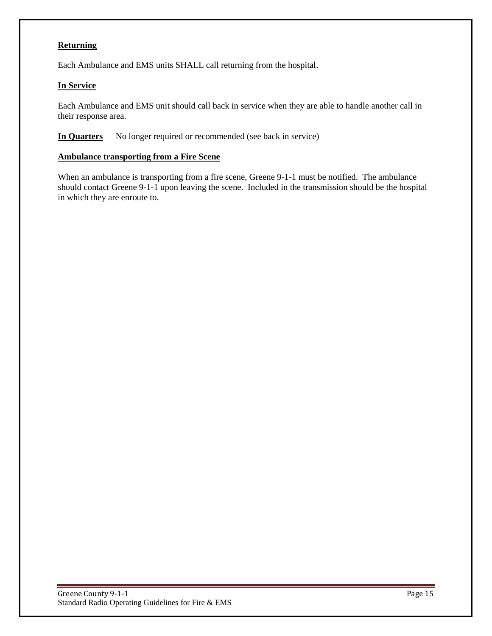#### **Returning**

Each Ambulance and EMS units SHALL call returning from the hospital.

#### **In Service**

Each Ambulance and EMS unit should call back in service when they are able to handle another call in their response area.

**In Quarters** No longer required or recommended (see back in service)

#### **Ambulance transporting from a Fire Scene**

When an ambulance is transporting from a fire scene, Greene 9-1-1 must be notified. The ambulance should contact Greene 9-1-1 upon leaving the scene. Included in the transmission should be the hospital in which they are enroute to.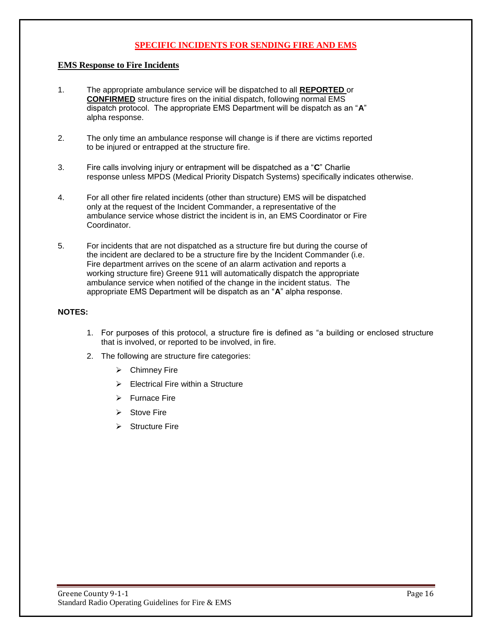#### **SPECIFIC INCIDENTS FOR SENDING FIRE AND EMS**

#### **EMS Response to Fire Incidents**

- 1. The appropriate ambulance service will be dispatched to all **REPORTED** or **CONFIRMED** structure fires on the initial dispatch, following normal EMS dispatch protocol. The appropriate EMS Department will be dispatch as an "**A**" alpha response.
- 2. The only time an ambulance response will change is if there are victims reported to be injured or entrapped at the structure fire.
- 3. Fire calls involving injury or entrapment will be dispatched as a "**C**" Charlie response unless MPDS (Medical Priority Dispatch Systems) specifically indicates otherwise.
- 4. For all other fire related incidents (other than structure) EMS will be dispatched only at the request of the Incident Commander, a representative of the ambulance service whose district the incident is in, an EMS Coordinator or Fire Coordinator.
- 5. For incidents that are not dispatched as a structure fire but during the course of the incident are declared to be a structure fire by the Incident Commander (i.e. Fire department arrives on the scene of an alarm activation and reports a working structure fire) Greene 911 will automatically dispatch the appropriate ambulance service when notified of the change in the incident status. The appropriate EMS Department will be dispatch as an "**A**" alpha response.

#### **NOTES:**

- 1. For purposes of this protocol, a structure fire is defined as "a building or enclosed structure that is involved, or reported to be involved, in fire.
- 2. The following are structure fire categories:
	- Chimney Fire
	- Electrical Fire within a Structure
	- $\triangleright$  Furnace Fire
	- $\triangleright$  Stove Fire
	- Structure Fire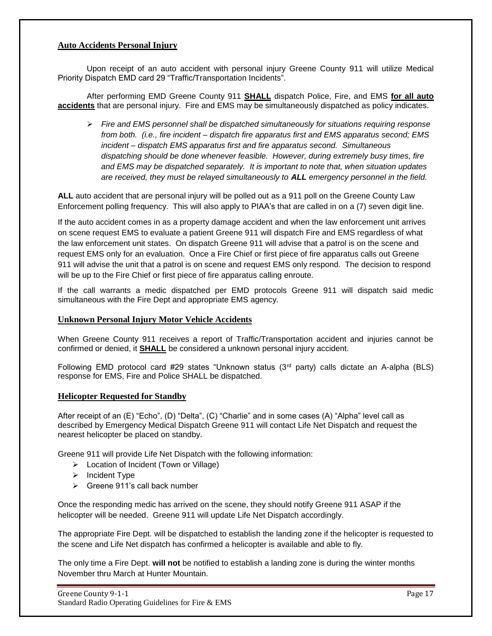#### **Auto Accidents Personal Injury**

Upon receipt of an auto accident with personal injury Greene County 911 will utilize Medical Priority Dispatch EMD card 29 "Traffic/Transportation Incidents".

After performing EMD Greene County 911 **SHALL** dispatch Police, Fire, and EMS **for all auto accidents** that are personal injury. Fire and EMS may be simultaneously dispatched as policy indicates.

 *Fire and EMS personnel shall be dispatched simultaneously for situations requiring response from both. (i.e., fire incident – dispatch fire apparatus first and EMS apparatus second; EMS incident – dispatch EMS apparatus first and fire apparatus second. Simultaneous dispatching should be done whenever feasible. However, during extremely busy times, fire and EMS may be dispatched separately. It is important to note that, when situation updates are received, they must be relayed simultaneously to ALL emergency personnel in the field.*

**ALL** auto accident that are personal injury will be polled out as a 911 poll on the Greene County Law Enforcement polling frequency. This will also apply to PIAA's that are called in on a (7) seven digit line.

If the auto accident comes in as a property damage accident and when the law enforcement unit arrives on scene request EMS to evaluate a patient Greene 911 will dispatch Fire and EMS regardless of what the law enforcement unit states. On dispatch Greene 911 will advise that a patrol is on the scene and request EMS only for an evaluation. Once a Fire Chief or first piece of fire apparatus calls out Greene 911 will advise the unit that a patrol is on scene and request EMS only respond. The decision to respond will be up to the Fire Chief or first piece of fire apparatus calling enroute.

If the call warrants a medic dispatched per EMD protocols Greene 911 will dispatch said medic simultaneous with the Fire Dept and appropriate EMS agency.

#### **Unknown Personal Injury Motor Vehicle Accidents**

When Greene County 911 receives a report of Traffic/Transportation accident and injuries cannot be confirmed or denied, it **SHALL** be considered a unknown personal injury accident.

Following EMD protocol card #29 states "Unknown status (3<sup>rd</sup> party) calls dictate an A-alpha (BLS) response for EMS, Fire and Police SHALL be dispatched.

#### **Helicopter Requested for Standby**

After receipt of an (E) "Echo", (D) "Delta", (C) "Charlie" and in some cases (A) "Alpha" level call as described by Emergency Medical Dispatch Greene 911 will contact Life Net Dispatch and request the nearest helicopter be placed on standby.

Greene 911 will provide Life Net Dispatch with the following information:

- Location of Incident (Town or Village)
- $\triangleright$  Incident Type
- $\triangleright$  Greene 911's call back number

Once the responding medic has arrived on the scene, they should notify Greene 911 ASAP if the helicopter will be needed. Greene 911 will update Life Net Dispatch accordingly.

The appropriate Fire Dept. will be dispatched to establish the landing zone if the helicopter is requested to the scene and Life Net dispatch has confirmed a helicopter is available and able to fly.

The only time a Fire Dept. **will not** be notified to establish a landing zone is during the winter months November thru March at Hunter Mountain.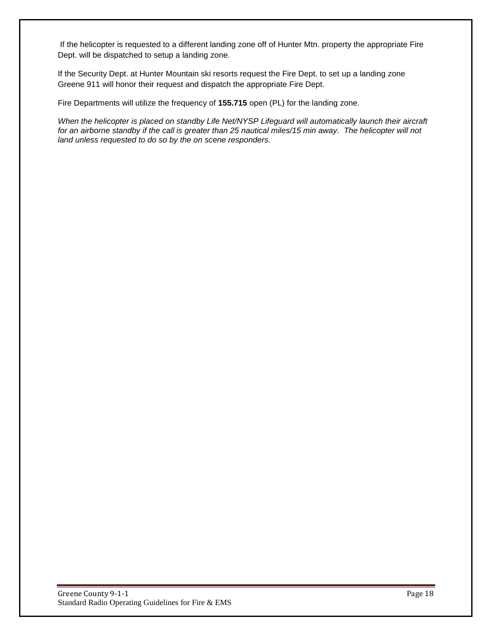If the helicopter is requested to a different landing zone off of Hunter Mtn. property the appropriate Fire Dept. will be dispatched to setup a landing zone.

If the Security Dept. at Hunter Mountain ski resorts request the Fire Dept. to set up a landing zone Greene 911 will honor their request and dispatch the appropriate Fire Dept.

Fire Departments will utilize the frequency of **155.715** open (PL) for the landing zone.

*When the helicopter is placed on standby Life Net/NYSP Lifeguard will automatically launch their aircraft for an airborne standby if the call is greater than 25 nautical miles/15 min away. The helicopter will not land unless requested to do so by the on scene responders.*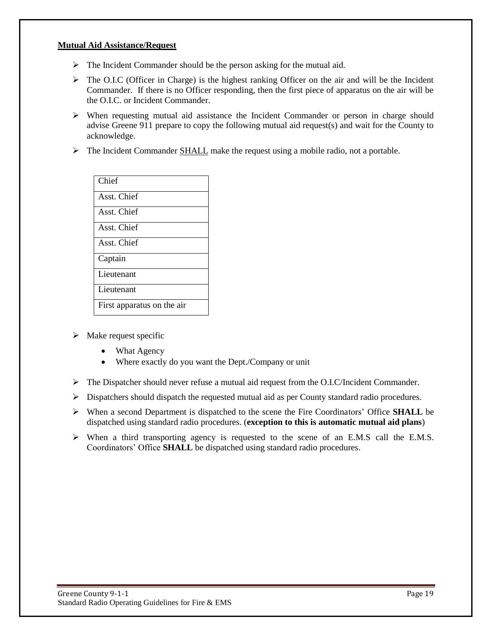#### **Mutual Aid Assistance/Request**

- $\triangleright$  The Incident Commander should be the person asking for the mutual aid.
- $\triangleright$  The O.I.C (Officer in Charge) is the highest ranking Officer on the air and will be the Incident Commander. If there is no Officer responding, then the first piece of apparatus on the air will be the O.I.C. or Incident Commander.
- When requesting mutual aid assistance the Incident Commander or person in charge should advise Greene 911 prepare to copy the following mutual aid request(s) and wait for the County to acknowledge.
- $\triangleright$  The Incident Commander SHALL make the request using a mobile radio, not a portable.

| Chief                      |
|----------------------------|
| Asst. Chief                |
| Asst. Chief                |
| Asst. Chief                |
| Asst. Chief                |
| Captain                    |
| Lieutenant                 |
| Lieutenant                 |
| First apparatus on the air |

- $\triangleright$  Make request specific
	- What Agency
	- Where exactly do you want the Dept./Company or unit
- $\triangleright$  The Dispatcher should never refuse a mutual aid request from the O.I.C/Incident Commander.
- $\triangleright$  Dispatchers should dispatch the requested mutual aid as per County standard radio procedures.
- When a second Department is dispatched to the scene the Fire Coordinators' Office **SHALL** be dispatched using standard radio procedures. (**exception to this is automatic mutual aid plans**)
- When a third transporting agency is requested to the scene of an E.M.S call the E.M.S. Coordinators' Office **SHALL** be dispatched using standard radio procedures.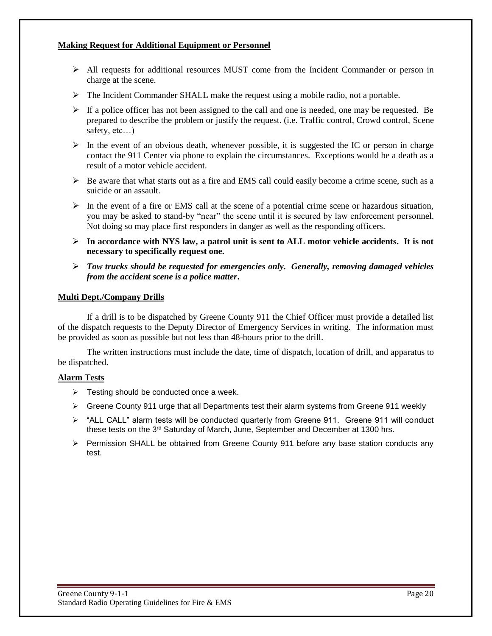#### **Making Request for Additional Equipment or Personnel**

- $\triangleright$  All requests for additional resources MUST come from the Incident Commander or person in charge at the scene.
- $\triangleright$  The Incident Commander SHALL make the request using a mobile radio, not a portable.
- $\triangleright$  If a police officer has not been assigned to the call and one is needed, one may be requested. Be prepared to describe the problem or justify the request. (i.e. Traffic control, Crowd control, Scene safety, etc…)
- $\triangleright$  In the event of an obvious death, whenever possible, it is suggested the IC or person in charge contact the 911 Center via phone to explain the circumstances. Exceptions would be a death as a result of a motor vehicle accident.
- $\triangleright$  Be aware that what starts out as a fire and EMS call could easily become a crime scene, such as a suicide or an assault.
- $\triangleright$  In the event of a fire or EMS call at the scene of a potential crime scene or hazardous situation, you may be asked to stand-by "near" the scene until it is secured by law enforcement personnel. Not doing so may place first responders in danger as well as the responding officers.
- **In accordance with NYS law, a patrol unit is sent to ALL motor vehicle accidents. It is not necessary to specifically request one.**
- *Tow trucks should be requested for emergencies only. Generally, removing damaged vehicles from the accident scene is a police matter***.**

#### **Multi Dept./Company Drills**

If a drill is to be dispatched by Greene County 911 the Chief Officer must provide a detailed list of the dispatch requests to the Deputy Director of Emergency Services in writing. The information must be provided as soon as possible but not less than 48-hours prior to the drill.

The written instructions must include the date, time of dispatch, location of drill, and apparatus to be dispatched.

#### **Alarm Tests**

- $\triangleright$  Testing should be conducted once a week.
- Greene County 911 urge that all Departments test their alarm systems from Greene 911 weekly
- $\triangleright$  "ALL CALL" alarm tests will be conducted quarterly from Greene 911. Greene 911 will conduct these tests on the 3<sup>rd</sup> Saturday of March, June, September and December at 1300 hrs.
- $\triangleright$  Permission SHALL be obtained from Greene County 911 before any base station conducts any test.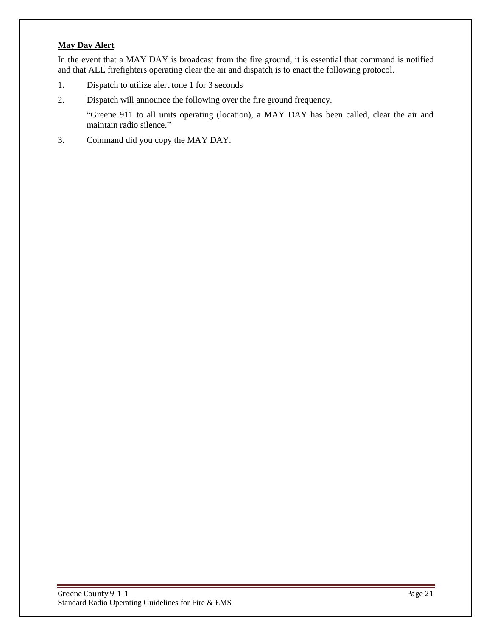#### **May Day Alert**

In the event that a MAY DAY is broadcast from the fire ground, it is essential that command is notified and that ALL firefighters operating clear the air and dispatch is to enact the following protocol.

- 1. Dispatch to utilize alert tone 1 for 3 seconds
- 2. Dispatch will announce the following over the fire ground frequency.

"Greene 911 to all units operating (location), a MAY DAY has been called, clear the air and maintain radio silence."

3. Command did you copy the MAY DAY.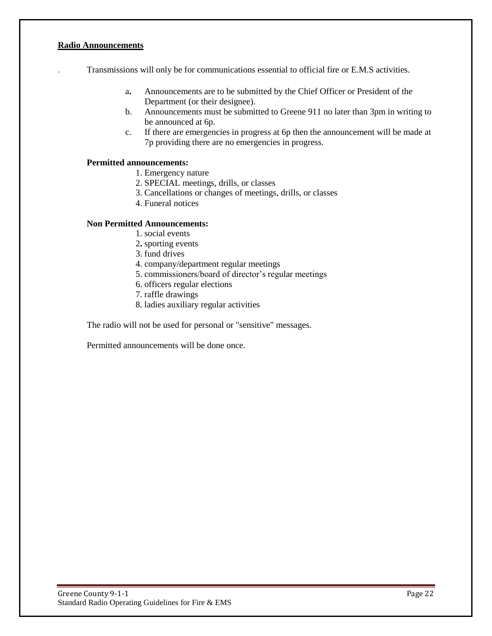#### **Radio Announcements**

. Transmissions will only be for communications essential to official fire or E.M.S activities.

- a**.** Announcements are to be submitted by the Chief Officer or President of the Department (or their designee).
- b. Announcements must be submitted to Greene 911 no later than 3pm in writing to be announced at 6p.
- c. If there are emergencies in progress at 6p then the announcement will be made at 7p providing there are no emergencies in progress.

#### **Permitted announcements:**

- 1. Emergency nature
- 2. SPECIAL meetings, drills, or classes
- 3. Cancellations or changes of meetings, drills, or classes
- 4. Funeral notices

#### **Non Permitted Announcements:**

- 1. social events
- 2**.** sporting events
- 3. fund drives
- 4. company/department regular meetings
- 5. commissioners/board of director's regular meetings
- 6. officers regular elections
- 7. raffle drawings
- 8. ladies auxiliary regular activities

The radio will not be used for personal or "sensitive" messages.

Permitted announcements will be done once.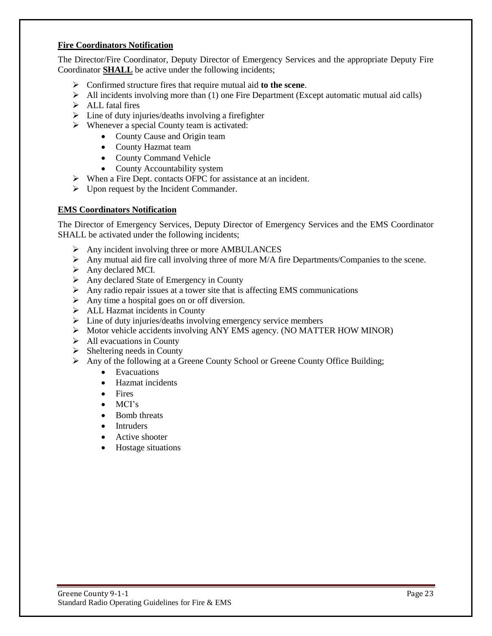#### **Fire Coordinators Notification**

The Director/Fire Coordinator, Deputy Director of Emergency Services and the appropriate Deputy Fire Coordinator **SHALL** be active under the following incidents;

- Confirmed structure fires that require mutual aid **to the scene**.
- $\triangleright$  All incidents involving more than (1) one Fire Department (Except automatic mutual aid calls)
- $\triangleright$  ALL fatal fires
- $\triangleright$  Line of duty injuries/deaths involving a firefighter
- $\triangleright$  Whenever a special County team is activated:
	- County Cause and Origin team
	- County Hazmat team
	- County Command Vehicle
	- County Accountability system
- When a Fire Dept. contacts OFPC for assistance at an incident.
- $\triangleright$  Upon request by the Incident Commander.

#### **EMS Coordinators Notification**

The Director of Emergency Services, Deputy Director of Emergency Services and the EMS Coordinator SHALL be activated under the following incidents;

- $\triangleright$  Any incident involving three or more AMBULANCES
- Any mutual aid fire call involving three of more  $M/A$  fire Departments/Companies to the scene.
- $\triangleright$  Any declared MCI.
- $\triangleright$  Any declared State of Emergency in County
- $\triangleright$  Any radio repair issues at a tower site that is affecting EMS communications
- $\triangleright$  Any time a hospital goes on or off diversion.
- $\triangleright$  ALL Hazmat incidents in County
- $\triangleright$  Line of duty injuries/deaths involving emergency service members
- $\triangleright$  Motor vehicle accidents involving ANY EMS agency. (NO MATTER HOW MINOR)
- $\triangleright$  All evacuations in County
- $\triangleright$  Sheltering needs in County
- $\triangleright$  Any of the following at a Greene County School or Greene County Office Building;
	- Evacuations
	- Hazmat incidents
	- Fires
	- $\bullet$  MCI's
	- Bomb threats
	- Intruders
	- Active shooter
	- Hostage situations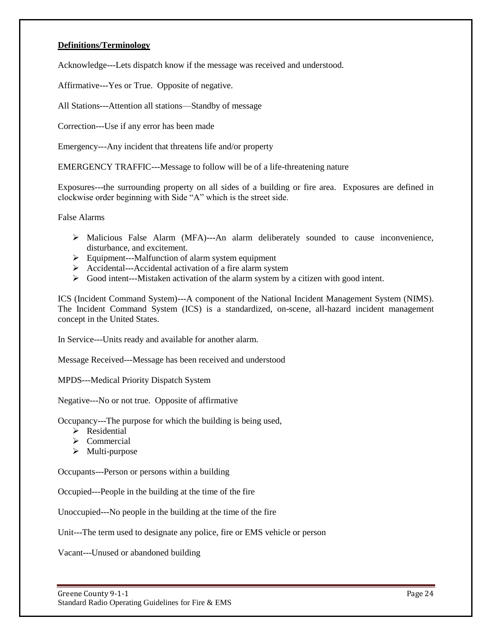#### **Definitions/Terminology**

Acknowledge---Lets dispatch know if the message was received and understood.

Affirmative---Yes or True. Opposite of negative.

All Stations---Attention all stations—Standby of message

Correction---Use if any error has been made

Emergency---Any incident that threatens life and/or property

EMERGENCY TRAFFIC---Message to follow will be of a life-threatening nature

Exposures---the surrounding property on all sides of a building or fire area. Exposures are defined in clockwise order beginning with Side "A" which is the street side.

False Alarms

- Malicious False Alarm (MFA)---An alarm deliberately sounded to cause inconvenience, disturbance, and excitement.
- $\triangleright$  Equipment---Malfunction of alarm system equipment
- Accidental---Accidental activation of a fire alarm system
- Good intent---Mistaken activation of the alarm system by a citizen with good intent.

ICS (Incident Command System)---A component of the National Incident Management System (NIMS). The Incident Command System (ICS) is a standardized, on-scene, all-hazard incident management concept in the United States.

In Service---Units ready and available for another alarm.

Message Received---Message has been received and understood

MPDS---Medical Priority Dispatch System

Negative---No or not true. Opposite of affirmative

Occupancy---The purpose for which the building is being used,

- $\triangleright$  Residential
- $\triangleright$  Commercial
- $\triangleright$  Multi-purpose

Occupants---Person or persons within a building

Occupied---People in the building at the time of the fire

Unoccupied---No people in the building at the time of the fire

Unit---The term used to designate any police, fire or EMS vehicle or person

Vacant---Unused or abandoned building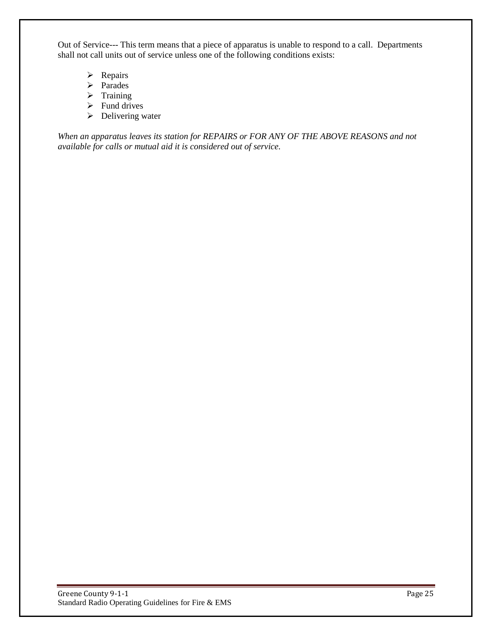Out of Service--- This term means that a piece of apparatus is unable to respond to a call. Departments shall not call units out of service unless one of the following conditions exists:

- $\triangleright$  Repairs
- > Parades
- $\triangleright$  Training
- $\triangleright$  Fund drives
- $\triangleright$  Delivering water

*When an apparatus leaves its station for REPAIRS or FOR ANY OF THE ABOVE REASONS and not available for calls or mutual aid it is considered out of service.*